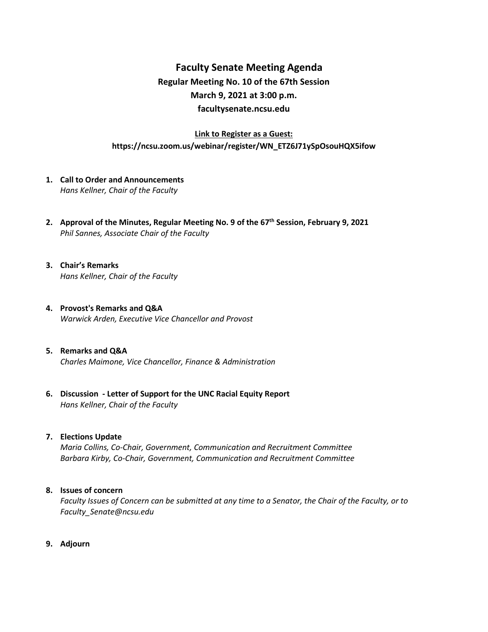## **Faculty Senate Meeting Agenda Regular Meeting No. 10 of the 67th Session March 9, 2021 at 3:00 p.m. [facultysenate.ncsu.edu](https://facultysenate.ncsu.edu/)**

### **Link to Register as a Guest: https://ncsu.zoom.us/webinar/register/WN\_ETZ6J71ySpOsouHQX5ifow**

- **1. Call to Order and Announcements** *Hans Kellner, Chair of the Faculty*
- **2. Approval of the Minutes, Regular Meeting No. 9 of the 67th Session, February 9, 2021** *Phil Sannes, Associate Chair of the Faculty*
- **3. Chair's Remarks** *Hans Kellner, Chair of the Faculty*
- **4. Provost's Remarks and Q&A** *Warwick Arden, Executive Vice Chancellor and Provost*
- **5. Remarks and Q&A** *Charles Maimone, Vice Chancellor, Finance & Administration*
- **6. Discussion - Letter of Support for the UNC Racial Equity Report** *Hans Kellner, Chair of the Faculty*

#### **7. Elections Update**

*Maria Collins, Co-Chair, Government, Communication and Recruitment Committee Barbara Kirby, Co-Chair, Government, Communication and Recruitment Committee*

#### **8. Issues of concern**

*Faculty Issues of Concern can be submitted at any time to a Senator, the Chair of the Faculty, or to [Faculty\\_Senate@ncsu.edu](mailto:Faculty_Senate@ncsu.edu)*

**9. Adjourn**